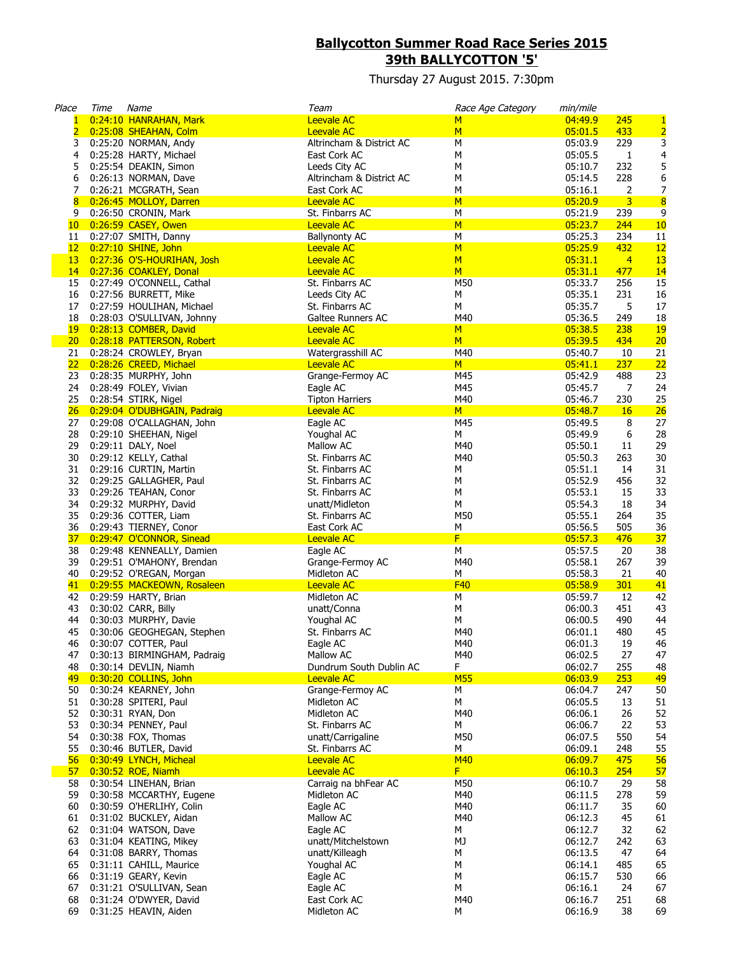## **Ballycotton Summer Road Race Series 2015 39th BALLYCOTTON '5'**

Thursday 27 August 2015. 7:30pm

| Place           | Time | Name                                                   | Team                                 | Race Age Category | min/mile           |                |                         |
|-----------------|------|--------------------------------------------------------|--------------------------------------|-------------------|--------------------|----------------|-------------------------|
| $\mathbf{1}$    |      | 0:24:10 HANRAHAN, Mark                                 | <b>Leevale AC</b>                    | M                 | 04:49.9            | 245            | $\mathbf{1}$            |
| $\overline{2}$  |      | 0:25:08 SHEAHAN, Colm                                  | <b>Leevale AC</b>                    | M                 | 05:01.5            | 433            | $\overline{2}$          |
| 3               |      | 0:25:20 NORMAN, Andy                                   | Altrincham & District AC             | M                 | 05:03.9            | 229            | 3                       |
| 4               |      | 0:25:28 HARTY, Michael                                 | East Cork AC                         | м                 | 05:05.5            | 1              | 4                       |
| 5               |      | 0:25:54 DEAKIN, Simon                                  | Leeds City AC                        | M                 | 05:10.7            | 232            | 5                       |
| 6               |      | 0:26:13 NORMAN, Dave                                   | Altrincham & District AC             | м                 | 05:14.5            | 228            | 6                       |
| 7               |      | 0:26:21 MCGRATH, Sean                                  | East Cork AC                         | M                 | 05:16.1            | 2              | $\overline{7}$          |
| 8               |      | 0:26:45 MOLLOY, Darren                                 | <b>Leevale AC</b>                    | M                 | 05:20.9            | $\overline{3}$ | $\overline{\mathbf{8}}$ |
| 9               |      | 0:26:50 CRONIN, Mark<br>10 0:26:59 CASEY, Owen         | St. Finbarrs AC<br><b>Leevale AC</b> | М<br>M            | 05:21.9<br>05:23.7 | 239<br>244     | 9                       |
| 11              |      | 0:27:07 SMITH, Danny                                   | <b>Ballynonty AC</b>                 | M                 | 05:25.3            | 234            | 10<br>11                |
| 12              |      | 0:27:10 SHINE, John                                    | <b>Leevale AC</b>                    | M                 | 05:25.9            | 432            | 12                      |
| 13              |      | 0:27:36 O'S-HOURIHAN, Josh                             | <b>Leevale AC</b>                    | M                 | 05:31.1            | $\overline{4}$ | 13                      |
|                 |      | 14 0:27:36 COAKLEY, Donal                              | <b>Leevale AC</b>                    | M                 | 05:31.1            | 477            | 14                      |
| 15              |      | 0:27:49 O'CONNELL, Cathal                              | St. Finbarrs AC                      | M50               | 05:33.7            | 256            | 15                      |
| 16              |      | 0:27:56 BURRETT, Mike                                  | Leeds City AC                        | М                 | 05:35.1            | 231            | 16                      |
| 17              |      | 0:27:59 HOULIHAN, Michael                              | St. Finbarrs AC                      | М                 | 05:35.7            | 5              | 17                      |
| 18              |      | 0:28:03 O'SULLIVAN, Johnny                             | Galtee Runners AC                    | M40               | 05:36.5            | 249            | 18                      |
| 19              |      | 0:28:13 COMBER, David                                  | <b>Leevale AC</b>                    | M                 | 05:38.5            | 238            | <b>19</b>               |
| 20 <sub>2</sub> |      | 0:28:18 PATTERSON, Robert                              | <b>Leevale AC</b>                    | M                 | 05:39.5            | 434            | 20                      |
| 21              |      | 0:28:24 CROWLEY, Bryan                                 | Watergrasshill AC                    | M40               | 05:40.7            | 10             | 21                      |
| 22              |      | 0:28:26 CREED, Michael                                 | <b>Leevale AC</b>                    | M                 | 05:41.1            | 237            | 22                      |
| 23              |      | 0:28:35 MURPHY, John                                   | Grange-Fermoy AC                     | M45               | 05:42.9            | 488            | 23                      |
| 24              |      | 0:28:49 FOLEY, Vivian                                  | Eagle AC                             | M45               | 05:45.7            | 7              | 24                      |
| 25              |      | 0:28:54 STIRK, Nigel                                   | <b>Tipton Harriers</b>               | M40               | 05:46.7            | 230            | 25                      |
|                 |      | 26 0:29:04 O'DUBHGAIN, Padraig                         | <b>Leevale AC</b>                    | M                 | 05:48.7            | 16             | 26                      |
|                 |      | 27 0:29:08 O'CALLAGHAN, John                           | Eagle AC                             | M45               | 05:49.5            | 8              | 27                      |
| 28              |      | 0:29:10 SHEEHAN, Nigel                                 | Youghal AC                           | М                 | 05:49.9            | 6              | 28                      |
| 29              |      | 0:29:11 DALY, Noel                                     | Mallow AC                            | M40               | 05:50.1            | 11             | 29                      |
| 30              |      | 0:29:12 KELLY, Cathal                                  | St. Finbarrs AC                      | M40               | 05:50.3            | 263            | 30                      |
| 31              |      | 0:29:16 CURTIN, Martin                                 | St. Finbarrs AC                      | М                 | 05:51.1            | 14             | 31                      |
| 32              |      | 0:29:25 GALLAGHER, Paul                                | St. Finbarrs AC                      | м                 | 05:52.9            | 456            | 32                      |
| 33              |      | 0:29:26 TEAHAN, Conor                                  | St. Finbarrs AC                      | М                 | 05:53.1            | 15             | 33                      |
| 34              |      | 0:29:32 MURPHY, David                                  | unatt/Midleton                       | M                 | 05:54.3            | 18             | 34                      |
| 35              |      | 0:29:36 COTTER, Liam                                   | St. Finbarrs AC                      | M50               | 05:55.1            | 264            | 35                      |
| 36              |      | 0:29:43 TIERNEY, Conor                                 | East Cork AC                         | М<br>F            | 05:56.5            | 505            | 36                      |
| 38              |      | 37 0:29:47 O'CONNOR, Sinead                            | <b>Leevale AC</b><br>Eagle AC        | М                 | 05:57.3<br>05:57.5 | 476<br>20      | 37<br>38                |
| 39              |      | 0:29:48 KENNEALLY, Damien<br>0:29:51 O'MAHONY, Brendan | Grange-Fermoy AC                     | M40               | 05:58.1            | 267            | 39                      |
| 40              |      | 0:29:52 O'REGAN, Morgan                                | Midleton AC                          | М                 | 05:58.3            | 21             | 40                      |
|                 |      | 41 0:29:55 MACKEOWN, Rosaleen                          | <b>Leevale AC</b>                    | F40               | 05:58.9            | 301            | 41                      |
|                 |      | 42 0:29:59 HARTY, Brian                                | Midleton AC                          | М                 | 05:59.7            | 12             | 42                      |
| 43              |      | 0:30:02 CARR, Billy                                    | unatt/Conna                          | М                 | 06:00.3            | 451            | 43                      |
| 44              |      | 0:30:03 MURPHY, Davie                                  | Youghal AC                           | М                 | 06:00.5            | 490            | 44                      |
| 45              |      | 0:30:06 GEOGHEGAN, Stephen                             | St. Finbarrs AC                      | M40               | 06:01.1            | 480            | 45                      |
| 46              |      | 0:30:07 COTTER, Paul                                   | Eagle AC                             | M40               | 06:01.3            | 19             | 46                      |
| 47              |      | 0:30:13 BIRMINGHAM, Padraig                            | Mallow AC                            | M40               | 06:02.5            | 27             | 47                      |
| 48              |      | 0:30:14 DEVLIN, Niamh                                  | Dundrum South Dublin AC              | F                 | 06:02.7            | 255            | 48                      |
| <mark>49</mark> |      | 0:30:20 COLLINS, John                                  | <b>Leevale AC</b>                    | <b>M55</b>        | 06:03.9            | 253            | 49                      |
| 50              |      | 0:30:24 KEARNEY, John                                  | Grange-Fermoy AC                     | М                 | 06:04.7            | 247            | 50                      |
| 51              |      | 0:30:28 SPITERI, Paul                                  | Midleton AC                          | M                 | 06:05.5            | 13             | 51                      |
| 52              |      | 0:30:31 RYAN, Don                                      | Midleton AC                          | M40               | 06:06.1            | 26             | 52                      |
| 53              |      | 0:30:34 PENNEY, Paul                                   | St. Finbarrs AC                      | М                 | 06:06.7            | 22             | 53                      |
| 54              |      | 0:30:38 FOX, Thomas                                    | unatt/Carrigaline                    | M50               | 06:07.5            | 550            | 54                      |
| 55              |      | 0:30:46 BUTLER, David                                  | St. Finbarrs AC                      | M                 | 06:09.1            | 248            | 55                      |
| 56 <sup>2</sup> |      | 0:30:49 LYNCH, Micheal                                 | <b>Leevale AC</b>                    | <b>M40</b>        | 06:09.7            | 475            | 56                      |
| 57              |      | 0:30:52 ROE, Niamh                                     | <b>Leevale AC</b>                    | F                 | 06:10.3            | 254            | 57                      |
| 58              |      | 0:30:54 LINEHAN, Brian                                 | Carraig na bhFear AC                 | M50               | 06:10.7            | 29             | 58                      |
| 59              |      | 0:30:58 MCCARTHY, Eugene                               | Midleton AC                          | M40               | 06:11.5            | 278            | 59                      |
| 60              |      | 0:30:59 O'HERLIHY, Colin                               | Eagle AC<br>Mallow AC                | M40<br>M40        | 06:11.7<br>06:12.3 | 35<br>45       | 60<br>61                |
| 61<br>62        |      | 0:31:02 BUCKLEY, Aidan<br>0:31:04 WATSON, Dave         | Eagle AC                             | М                 | 06:12.7            | 32             |                         |
| 63              |      | 0:31:04 KEATING, Mikey                                 | unatt/Mitchelstown                   | MJ                | 06:12.7            | 242            | 62<br>63                |
| 64              |      | 0:31:08 BARRY, Thomas                                  | unatt/Killeagh                       | М                 | 06:13.5            | 47             | 64                      |
| 65              |      | 0:31:11 CAHILL, Maurice                                | Youghal AC                           | М                 | 06:14.1            | 485            | 65                      |
| 66              |      | 0:31:19 GEARY, Kevin                                   | Eagle AC                             | М                 | 06:15.7            | 530            | 66                      |
| 67              |      | 0:31:21 O'SULLIVAN, Sean                               | Eagle AC                             | м                 | 06:16.1            | 24             | 67                      |
| 68              |      | 0:31:24 O'DWYER, David                                 | East Cork AC                         | M40               | 06:16.7            | 251            | 68                      |
| 69              |      | 0:31:25 HEAVIN, Aiden                                  | Midleton AC                          | М                 | 06:16.9            | 38             | 69                      |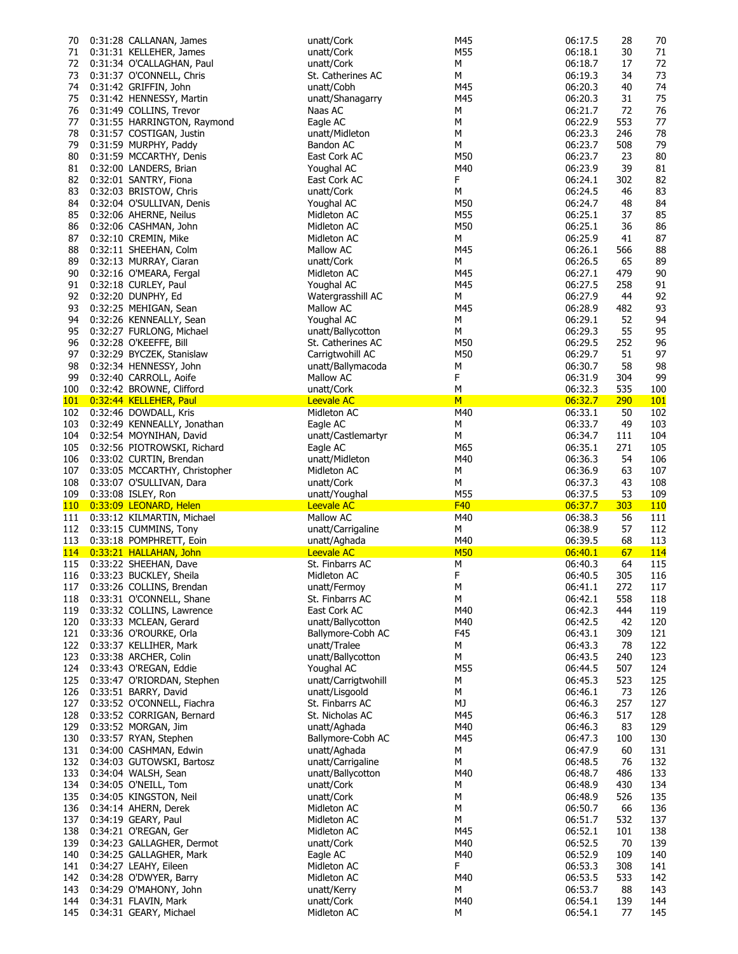| 70               | 0:31:28 CALLANAN, James                        | unatt/Cork                | M45        | 06:17.5            | 28        | 70         |
|------------------|------------------------------------------------|---------------------------|------------|--------------------|-----------|------------|
| 71               | 0:31:31 KELLEHER, James                        | unatt/Cork                | M55        | 06:18.1            | 30        | 71         |
| 72               | 0:31:34 O'CALLAGHAN, Paul                      | unatt/Cork                | М          | 06:18.7            | 17        | 72         |
| 73               | 0:31:37 O'CONNELL, Chris                       | St. Catherines AC         | М          | 06:19.3            | 34        | 73         |
| 74               |                                                | unatt/Cobh                | M45        | 06:20.3            |           | 74         |
|                  | 0:31:42 GRIFFIN, John                          |                           |            |                    | 40        |            |
| 75               | 0:31:42 HENNESSY, Martin                       | unatt/Shanagarry          | M45        | 06:20.3            | 31        | 75         |
| 76               | 0:31:49 COLLINS, Trevor                        | Naas AC                   | М          | 06:21.7            | 72        | 76         |
| 77               | 0:31:55 HARRINGTON, Raymond                    | Eagle AC                  | М          | 06:22.9            | 553       | 77         |
| 78               | 0:31:57 COSTIGAN, Justin                       | unatt/Midleton            | М          | 06:23.3            | 246       | 78         |
| 79               | 0:31:59 MURPHY, Paddy                          | Bandon AC                 | М          | 06:23.7            | 508       | 79         |
| 80               | 0:31:59 MCCARTHY, Denis                        | East Cork AC              | M50        | 06:23.7            | 23        | 80         |
|                  |                                                |                           |            |                    |           |            |
| 81               | 0:32:00 LANDERS, Brian                         | Youghal AC                | M40        | 06:23.9            | 39        | 81         |
| 82               | 0:32:01 SANTRY, Fiona                          | East Cork AC              | F          | 06:24.1            | 302       | 82         |
| 83               | 0:32:03 BRISTOW, Chris                         | unatt/Cork                | М          | 06:24.5            | 46        | 83         |
| 84               | 0:32:04 O'SULLIVAN, Denis                      | Youghal AC                | M50        | 06:24.7            | 48        | 84         |
| 85               | 0:32:06 AHERNE, Neilus                         | Midleton AC               | M55        | 06:25.1            | 37        | 85         |
| 86               | 0:32:06 CASHMAN, John                          | Midleton AC               | M50        | 06:25.1            | 36        | 86         |
| 87               | 0:32:10 CREMIN, Mike                           | Midleton AC               | М          | 06:25.9            | 41        | 87         |
| 88               | 0:32:11 SHEEHAN, Colm                          | Mallow AC                 | M45        | 06:26.1            | 566       | 88         |
|                  |                                                |                           |            |                    |           |            |
| 89               | 0:32:13 MURRAY, Ciaran                         | unatt/Cork                | М          | 06:26.5            | 65        | 89         |
| 90               | 0:32:16 O'MEARA, Fergal                        | Midleton AC               | M45        | 06:27.1            | 479       | 90         |
| 91               | 0:32:18 CURLEY, Paul                           | Youghal AC                | M45        | 06:27.5            | 258       | 91         |
| 92               | 0:32:20 DUNPHY, Ed                             | Watergrasshill AC         | М          | 06:27.9            | 44        | 92         |
| 93               | 0:32:25 MEHIGAN, Sean                          | Mallow AC                 | M45        | 06:28.9            | 482       | 93         |
| 94               | 0:32:26 KENNEALLY, Sean                        | Youghal AC                | М          | 06:29.1            | 52        | 94         |
| 95               | 0:32:27 FURLONG, Michael                       | unatt/Ballycotton         | М          | 06:29.3            | 55        | 95         |
|                  |                                                |                           |            |                    |           |            |
| 96               | 0:32:28 O'KEEFFE, Bill                         | St. Catherines AC         | M50        | 06:29.5            | 252       | 96         |
| 97               | 0:32:29 BYCZEK, Stanislaw                      | Carrigtwohill AC          | M50        | 06:29.7            | 51        | 97         |
| 98               | 0:32:34 HENNESSY, John                         | unatt/Ballymacoda         | М          | 06:30.7            | 58        | 98         |
| 99               | 0:32:40 CARROLL, Aoife                         | Mallow AC                 | F          | 06:31.9            | 304       | 99         |
| 100              | 0:32:42 BROWNE, Clifford                       | unatt/Cork                | M          | 06:32.3            | 535       | 100        |
| <u> 101 </u>     | 0:32:44 KELLEHER, Paul                         | <b>Leevale AC</b>         | M          | 06:32.7            | 290       | <b>101</b> |
| 102              | 0:32:46 DOWDALL, Kris                          | Midleton AC               | M40        | 06:33.1            | 50        | 102        |
|                  |                                                |                           | М          | 06:33.7            | 49        | 103        |
| 103              | 0:32:49 KENNEALLY, Jonathan                    | Eagle AC                  |            |                    |           |            |
| 104              | 0:32:54 MOYNIHAN, David                        | unatt/Castlemartyr        | М          | 06:34.7            | 111       | 104        |
| 105              | 0:32:56 PIOTROWSKI, Richard                    | Eagle AC                  | M65        | 06:35.1            | 271       | 105        |
| 106              | 0:33:02 CURTIN, Brendan                        | unatt/Midleton            | M40        | 06:36.3            | 54        | 106        |
| 107              | 0:33:05 MCCARTHY, Christopher                  | Midleton AC               | М          | 06:36.9            | 63        | 107        |
| 108              | 0:33:07 O'SULLIVAN, Dara                       | unatt/Cork                | м          | 06:37.3            | 43        | 108        |
| 109              | 0:33:08 ISLEY, Ron                             | unatt/Youghal             | M55        | 06:37.5            | 53        | 109        |
| 110 <sub>1</sub> | 0:33:09 LEONARD, Helen                         | <b>Leevale AC</b>         | F40        | 06:37.7            | 303       | <b>110</b> |
|                  |                                                |                           |            |                    |           |            |
|                  |                                                |                           |            |                    |           |            |
| 111              | 0:33:12 KILMARTIN, Michael                     | Mallow AC                 | M40        | 06:38.3            | 56        | 111        |
| 112              | 0:33:15 CUMMINS, Tony                          | unatt/Carrigaline         | М          | 06:38.9            | 57        | 112        |
| 113              | 0:33:18 POMPHRETT, Eoin                        | unatt/Aghada              | M40        | 06:39.5            | 68        | 113        |
|                  | 114 0:33:21 HALLAHAN, John                     | <b>Leevale AC</b>         | <b>M50</b> | 06:40.1            | 67        | <b>114</b> |
| 115              | 0:33:22 SHEEHAN, Dave                          | St. Finbarrs AC           | М          | 06:40.3            | 64        | 115        |
|                  | 116 0:33:23 BUCKLEY, Sheila                    | Midleton AC               | F          | 06:40.5            | 305       | 116        |
| 117              |                                                |                           | М          | 06:41.1            | 272       | 117        |
|                  | 0:33:26 COLLINS, Brendan                       | unatt/Fermoy              |            |                    |           |            |
| 118              | 0:33:31 O'CONNELL, Shane                       | St. Finbarrs AC           | М          | 06:42.1            | 558       | 118        |
|                  | 119 0:33:32 COLLINS, Lawrence                  | East Cork AC              | M40        | 06:42.3            | 444       | 119        |
| 120              | 0:33:33 MCLEAN, Gerard                         | unatt/Ballycotton         | M40        | 06:42.5            | 42        | 120        |
| 121              | 0:33:36 O'ROURKE, Orla                         | Ballymore-Cobh AC         | F45        | 06:43.1            | 309       | 121        |
| 122              | 0:33:37 KELLIHER, Mark                         | unatt/Tralee              | М          | 06:43.3            | 78        | 122        |
| 123              | 0:33:38 ARCHER, Colin                          | unatt/Ballycotton         | М          | 06:43.5            | 240       | 123        |
| 124              | 0:33:43 O'REGAN, Eddie                         | Youghal AC                | M55        | 06:44.5            | 507       | 124        |
| 125              |                                                | unatt/Carrigtwohill       | М          | 06:45.3            | 523       |            |
|                  | 0:33:47 O'RIORDAN, Stephen                     |                           | М          |                    |           | 125        |
| 126              | 0:33:51 BARRY, David                           | unatt/Lisgoold            |            | 06:46.1            | 73        | 126        |
| 127              | 0:33:52 O'CONNELL, Fiachra                     | St. Finbarrs AC           | МJ         | 06:46.3            | 257       | 127        |
| 128              | 0:33:52 CORRIGAN, Bernard                      | St. Nicholas AC           | M45        | 06:46.3            | 517       | 128        |
| 129              | 0:33:52 MORGAN, Jim                            | unatt/Aghada              | M40        | 06:46.3            | 83        | 129        |
| 130              | 0:33:57 RYAN, Stephen                          | Ballymore-Cobh AC         | M45        | 06:47.3            | 100       | 130        |
| 131              | 0:34:00 CASHMAN, Edwin                         | unatt/Aghada              | М          | 06:47.9            | 60        | 131        |
| 132              | 0:34:03 GUTOWSKI, Bartosz                      | unatt/Carrigaline         | М          | 06:48.5            | 76        | 132        |
| 133              | 0:34:04 WALSH, Sean                            | unatt/Ballycotton         | M40        | 06:48.7            | 486       | 133        |
| 134              | 0:34:05 O'NEILL, Tom                           | unatt/Cork                | м          | 06:48.9            | 430       | 134        |
|                  |                                                |                           |            |                    |           |            |
| 135              | 0:34:05 KINGSTON, Neil                         | unatt/Cork                | М          | 06:48.9            | 526       | 135        |
| 136              | 0:34:14 AHERN, Derek                           | Midleton AC               | м          | 06:50.7            | 66        | 136        |
| 137              | 0:34:19 GEARY, Paul                            | Midleton AC               | М          | 06:51.7            | 532       | 137        |
| 138              | 0:34:21 O'REGAN, Ger                           | Midleton AC               | M45        | 06:52.1            | 101       | 138        |
| 139              | 0:34:23 GALLAGHER, Dermot                      | unatt/Cork                | M40        | 06:52.5            | 70        | 139        |
|                  | 0:34:25 GALLAGHER, Mark                        | Eagle AC                  | M40        | 06:52.9            | 109       | 140        |
| 140<br>141       | 0:34:27 LEAHY, Eileen                          | Midleton AC               | F          | 06:53.3            | 308       | 141        |
| 142              | 0:34:28 O'DWYER, Barry                         | Midleton AC               | M40        | 06:53.5            | 533       | 142        |
|                  |                                                |                           |            |                    |           |            |
| 143              | 0:34:29 O'MAHONY, John                         | unatt/Kerry               | М          | 06:53.7            | 88        | 143        |
| 144<br>145       | 0:34:31 FLAVIN, Mark<br>0:34:31 GEARY, Michael | unatt/Cork<br>Midleton AC | M40<br>м   | 06:54.1<br>06:54.1 | 139<br>77 | 144<br>145 |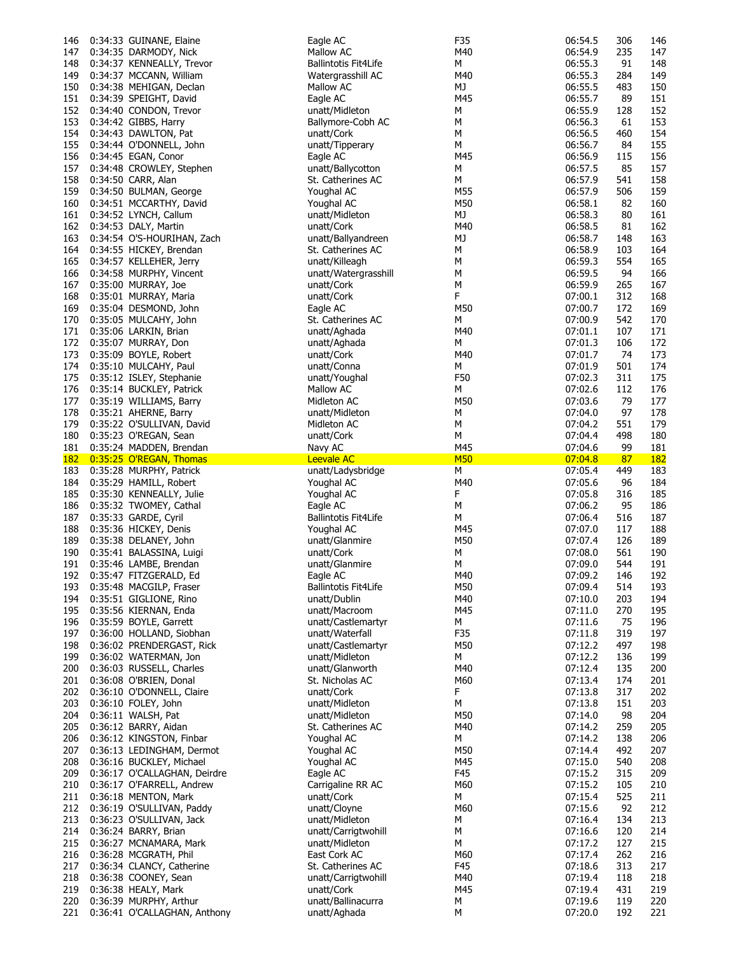| 146        | 0:34:33 GUINANE, Elaine                                | Eagle AC                           | F35        | 06:54.5            | 306        | 146        |
|------------|--------------------------------------------------------|------------------------------------|------------|--------------------|------------|------------|
| 147        | 0:34:35 DARMODY, Nick                                  | Mallow AC                          | M40        | 06:54.9            | 235        | 147        |
| 148        | 0:34:37 KENNEALLY, Trevor                              | Ballintotis Fit4Life               | м          | 06:55.3            | 91         | 148        |
| 149        | 0:34:37 MCCANN, William                                | Watergrasshill AC                  | M40        | 06:55.3            | 284        | 149        |
| 150        | 0:34:38 MEHIGAN, Declan                                | Mallow AC                          | МJ         | 06:55.5            | 483        | 150        |
|            | 0:34:39 SPEIGHT, David                                 |                                    |            |                    |            |            |
| 151        |                                                        | Eagle AC                           | M45        | 06:55.7            | 89         | 151        |
| 152        | 0:34:40 CONDON, Trevor                                 | unatt/Midleton                     | М          | 06:55.9            | 128        | 152        |
| 153        | 0:34:42 GIBBS, Harry                                   | Ballymore-Cobh AC                  | М          | 06:56.3            | 61         | 153        |
| 154        | 0:34:43 DAWLTON, Pat                                   | unatt/Cork                         | М          | 06:56.5            | 460        | 154        |
| 155        | 0:34:44 O'DONNELL, John                                | unatt/Tipperary                    | М          | 06:56.7            | 84         | 155        |
| 156        | 0:34:45 EGAN, Conor                                    | Eagle AC                           | M45        | 06:56.9            | 115        | 156        |
|            |                                                        |                                    |            |                    |            |            |
| 157        | 0:34:48 CROWLEY, Stephen                               | unatt/Ballycotton                  | М          | 06:57.5            | 85         | 157        |
| 158        | 0:34:50 CARR, Alan                                     | St. Catherines AC                  | М          | 06:57.9            | 541        | 158        |
| 159        | 0:34:50 BULMAN, George                                 | Youghal AC                         | M55        | 06:57.9            | 506        | 159        |
| 160        | 0:34:51 MCCARTHY, David                                | Youghal AC                         | M50        | 06:58.1            | 82         | 160        |
| 161        | 0:34:52 LYNCH, Callum                                  | unatt/Midleton                     | MJ         | 06:58.3            | 80         | 161        |
|            | 0:34:53 DALY, Martin                                   | unatt/Cork                         | M40        | 06:58.5            | 81         | 162        |
| 162        |                                                        |                                    |            |                    |            |            |
| 163        | 0:34:54 O'S-HOURIHAN, Zach                             | unatt/Ballyandreen                 | MJ         | 06:58.7            | 148        | 163        |
| 164        | 0:34:55 HICKEY, Brendan                                | St. Catherines AC                  | М          | 06:58.9            | 103        | 164        |
| 165        | 0:34:57 KELLEHER, Jerry                                | unatt/Killeagh                     | М          | 06:59.3            | 554        | 165        |
| 166        | 0:34:58 MURPHY, Vincent                                | unatt/Watergrasshill               | М          | 06:59.5            | 94         | 166        |
| 167        | 0:35:00 MURRAY, Joe                                    | unatt/Cork                         | М          | 06:59.9            | 265        | 167        |
|            |                                                        |                                    | F          |                    |            |            |
| 168        | 0:35:01 MURRAY, Maria                                  | unatt/Cork                         |            | 07:00.1            | 312        | 168        |
| 169        | 0:35:04 DESMOND, John                                  | Eagle AC                           | M50        | 07:00.7            | 172        | 169        |
| 170        | 0:35:05 MULCAHY, John                                  | St. Catherines AC                  | м          | 07:00.9            | 542        | 170        |
| 171        | 0:35:06 LARKIN, Brian                                  | unatt/Aghada                       | M40        | 07:01.1            | 107        | 171        |
| 172        | 0:35:07 MURRAY, Don                                    | unatt/Aghada                       | М          | 07:01.3            | 106        | 172        |
| 173        | 0:35:09 BOYLE, Robert                                  | unatt/Cork                         | M40        | 07:01.7            | 74         | 173        |
|            |                                                        |                                    |            |                    |            |            |
| 174        | 0:35:10 MULCAHY, Paul                                  | unatt/Conna                        | М          | 07:01.9            | 501        | 174        |
| 175        | 0:35:12 ISLEY, Stephanie                               | unatt/Youghal                      | F50        | 07:02.3            | 311        | 175        |
|            | 176 0:35:14 BUCKLEY, Patrick                           | Mallow AC                          | М          | 07:02.6            | 112        | 176        |
| 177        | 0:35:19 WILLIAMS, Barry                                | Midleton AC                        | M50        | 07:03.6            | 79         | 177        |
| 178        | 0:35:21 AHERNE, Barry                                  | unatt/Midleton                     | М          | 07:04.0            | 97         | 178        |
| 179        | 0:35:22 O'SULLIVAN, David                              | Midleton AC                        | М          | 07:04.2            | 551        | 179        |
|            |                                                        |                                    |            |                    |            |            |
| 180        | 0:35:23 O'REGAN, Sean                                  | unatt/Cork                         | М          | 07:04.4            | 498        | 180        |
|            | 181 0:35:24 MADDEN, Brendan                            | Navy AC                            | M45        | 07:04.6            | 99         | 181        |
|            | 182 0:35:25 O'REGAN, Thomas                            | <b>Leevale AC</b>                  | <b>M50</b> | 07:04.8            |            |            |
|            |                                                        |                                    |            |                    | 87         | <b>182</b> |
| 183        |                                                        | unatt/Ladysbridge                  | М          | 07:05.4            | 449        | 183        |
|            | 0:35:28 MURPHY, Patrick                                |                                    |            |                    |            |            |
| 184        | 0:35:29 HAMILL, Robert                                 | Youghal AC                         | M40        | 07:05.6            | 96         | 184        |
| 185        | 0:35:30 KENNEALLY, Julie                               | Youghal AC                         | F          | 07:05.8            | 316        | 185        |
| 186        | 0:35:32 TWOMEY, Cathal                                 | Eagle AC                           | М          | 07:06.2            | 95         | 186        |
| 187        | 0:35:33 GARDE, Cyril                                   | Ballintotis Fit4Life               | м          | 07:06.4            | 516        | 187        |
| 188        | 0:35:36 HICKEY, Denis                                  | Youghal AC                         | M45        | 07:07.0            | 117        | 188        |
| 189        | 0:35:38 DELANEY, John                                  | unatt/Glanmire                     | M50        | 07:07.4            | 126        | 189        |
|            | 0:35:41 BALASSINA, Luigi                               | unatt/Cork                         |            | 07:08.0            |            |            |
| 190        |                                                        |                                    | М          |                    | 561        | 190        |
| 191        | 0:35:46 LAMBE, Brendan                                 | unatt/Glanmire                     | М          | 07:09.0            | 544        | 191        |
|            | 192 0:35:47 FITZGERALD, Ed                             | Eagle AC                           | M40        | 07:09.2            | 146        | 192        |
| 193        | 0:35:48 MACGILP, Fraser                                | <b>Ballintotis Fit4Life</b>        | M50        | 07:09.4            | 514        | 193        |
| 194        | 0:35:51 GIGLIONE, Rino                                 | unatt/Dublin                       | M40        | 07:10.0            | 203        | 194        |
|            | 195 0:35:56 KIERNAN, Enda                              | unatt/Macroom                      | M45        | 07:11.0            | 270        | 195        |
| 196        | 0:35:59 BOYLE, Garrett                                 | unatt/Castlemartyr                 | м          | 07:11.6            | 75         | 196        |
|            |                                                        |                                    |            |                    |            |            |
| 197        | 0:36:00 HOLLAND, Siobhan                               | unatt/Waterfall                    | F35        | 07:11.8            | 319        | 197        |
| 198        | 0:36:02 PRENDERGAST, Rick                              | unatt/Castlemartyr                 | M50        | 07:12.2            | 497        | 198        |
| 199        | 0:36:02 WATERMAN, Jon                                  | unatt/Midleton                     | М          | 07:12.2            | 136        | 199        |
| 200        | 0:36:03 RUSSELL, Charles                               | unatt/Glanworth                    | M40        | 07:12.4            | 135        | 200        |
| 201        | 0:36:08 O'BRIEN, Donal                                 | St. Nicholas AC                    | M60        | 07:13.4            | 174        | 201        |
| 202        | 0:36:10 O'DONNELL, Claire                              | unatt/Cork                         | F          | 07:13.8            | 317        | 202        |
|            |                                                        |                                    |            |                    |            |            |
| 203        | 0:36:10 FOLEY, John                                    | unatt/Midleton                     | М          | 07:13.8            | 151        | 203        |
| 204        | 0:36:11 WALSH, Pat                                     | unatt/Midleton                     | M50        | 07:14.0            | 98         | 204        |
| 205        | 0:36:12 BARRY, Aidan                                   | St. Catherines AC                  | M40        | 07:14.2            | 259        | 205        |
| 206        | 0:36:12 KINGSTON, Finbar                               | Youghal AC                         | М          | 07:14.2            | 138        | 206        |
| 207        | 0:36:13 LEDINGHAM, Dermot                              | Youghal AC                         | M50        | 07:14.4            | 492        | 207        |
| 208        | 0:36:16 BUCKLEY, Michael                               | Youghal AC                         | M45        | 07:15.0            | 540        | 208        |
|            |                                                        |                                    |            |                    |            |            |
| 209        | 0:36:17 O'CALLAGHAN, Deirdre                           | Eagle AC                           | F45        | 07:15.2            | 315        | 209        |
| 210        | 0:36:17 O'FARRELL, Andrew                              | Carrigaline RR AC                  | M60        | 07:15.2            | 105        | 210        |
| 211        | 0:36:18 MENTON, Mark                                   | unatt/Cork                         | М          | 07:15.4            | 525        | 211        |
| 212        | 0:36:19 O'SULLIVAN, Paddy                              | unatt/Cloyne                       | M60        | 07:15.6            | 92         | 212        |
| 213        | 0:36:23 O'SULLIVAN, Jack                               | unatt/Midleton                     | М          | 07:16.4            | 134        | 213        |
| 214        | 0:36:24 BARRY, Brian                                   | unatt/Carrigtwohill                | М          | 07:16.6            | 120        | 214        |
| 215        |                                                        | unatt/Midleton                     | М          | 07:17.2            | 127        |            |
|            | 0:36:27 MCNAMARA, Mark                                 |                                    |            |                    |            | 215        |
| 216        | 0:36:28 MCGRATH, Phil                                  | East Cork AC                       | M60        | 07:17.4            | 262        | 216        |
| 217        | 0:36:34 CLANCY, Catherine                              | St. Catherines AC                  | F45        | 07:18.6            | 313        | 217        |
| 218        | 0:36:38 COONEY, Sean                                   | unatt/Carrigtwohill                | M40        | 07:19.4            | 118        | 218        |
| 219        | 0:36:38 HEALY, Mark                                    | unatt/Cork                         | M45        | 07:19.4            | 431        | 219        |
| 220<br>221 | 0:36:39 MURPHY, Arthur<br>0:36:41 O'CALLAGHAN, Anthony | unatt/Ballinacurra<br>unatt/Aghada | М          | 07:19.6<br>07:20.0 | 119<br>192 | 220<br>221 |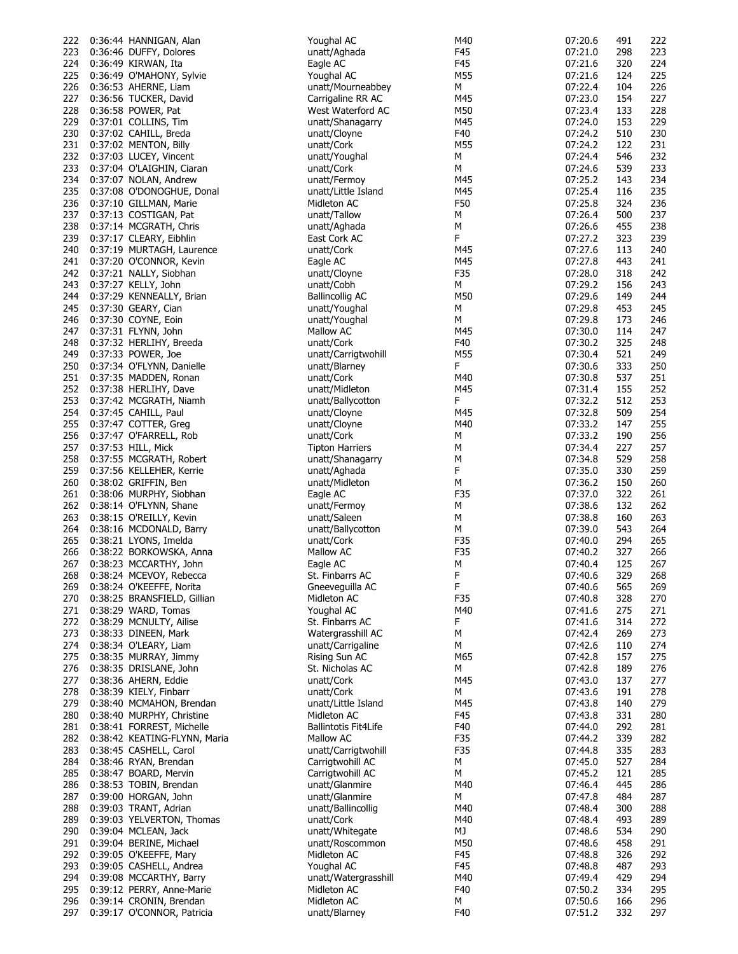| 222        | 0:36:44 HANNIGAN, Alan                                | Youghal AC                   | M40      | 07:20.6            | 491        | 222        |
|------------|-------------------------------------------------------|------------------------------|----------|--------------------|------------|------------|
| 223        | 0:36:46 DUFFY, Dolores                                | unatt/Aghada                 | F45      | 07:21.0            | 298        | 223        |
|            | 224 0:36:49 KIRWAN, Ita                               | Eagle AC                     | F45      | 07:21.6            | 320        | 224        |
|            |                                                       |                              |          |                    |            |            |
| 225        | 0:36:49 O'MAHONY, Sylvie                              | Youghal AC                   | M55      | 07:21.6            | 124        | 225        |
| 226        | 0:36:53 AHERNE, Liam                                  | unatt/Mourneabbey            | М        | 07:22.4            | 104        | 226        |
| 227        | 0:36:56 TUCKER, David                                 | Carrigaline RR AC            | M45      | 07:23.0            | 154        | 227        |
| 228        | 0:36:58 POWER, Pat                                    | West Waterford AC            | M50      | 07:23.4            | 133        | 228        |
| 229        | 0:37:01 COLLINS, Tim                                  | unatt/Shanagarry             | M45      | 07:24.0            | 153        | 229        |
|            |                                                       |                              |          |                    |            |            |
| 230        | 0:37:02 CAHILL, Breda                                 | unatt/Cloyne                 | F40      | 07:24.2            | 510        | 230        |
| 231        | 0:37:02 MENTON, Billy                                 | unatt/Cork                   | M55      | 07:24.2            | 122        | 231        |
| 232        | 0:37:03 LUCEY, Vincent                                | unatt/Youghal                | М        | 07:24.4            | 546        | 232        |
| 233        | 0:37:04 O'LAIGHIN, Ciaran                             | unatt/Cork                   | М        | 07:24.6            | 539        | 233        |
|            |                                                       |                              |          |                    |            |            |
| 234        | 0:37:07 NOLAN, Andrew                                 | unatt/Fermoy                 | M45      | 07:25.2            | 143        | 234        |
| 235        | 0:37:08 O'DONOGHUE, Donal                             | unatt/Little Island          | M45      | 07:25.4            | 116        | 235        |
| 236        | 0:37:10 GILLMAN, Marie                                | Midleton AC                  | F50      | 07:25.8            | 324        | 236        |
| 237        | 0:37:13 COSTIGAN, Pat                                 | unatt/Tallow                 | М        | 07:26.4            | 500        | 237        |
| 238        | 0:37:14 MCGRATH, Chris                                | unatt/Aghada                 | М        | 07:26.6            | 455        | 238        |
| 239        |                                                       |                              | F        | 07:27.2            | 323        | 239        |
|            | 0:37:17 CLEARY, Eibhlin                               | East Cork AC                 |          |                    |            |            |
| 240        | 0:37:19 MURTAGH, Laurence                             | unatt/Cork                   | M45      | 07:27.6            | 113        | 240        |
| 241        | 0:37:20 O'CONNOR, Kevin                               | Eagle AC                     | M45      | 07:27.8            | 443        | 241        |
| 242        | 0:37:21 NALLY, Siobhan                                | unatt/Cloyne                 | F35      | 07:28.0            | 318        | 242        |
| 243        | 0:37:27 KELLY, John                                   | unatt/Cobh                   | М        | 07:29.2            | 156        | 243        |
|            |                                                       | <b>Ballincollig AC</b>       |          |                    |            |            |
| 244        | 0:37:29 KENNEALLY, Brian                              |                              | M50      | 07:29.6            | 149        | 244        |
| 245        | 0:37:30 GEARY, Cian                                   | unatt/Youghal                | М        | 07:29.8            | 453        | 245        |
| 246        | 0:37:30 COYNE, Eoin                                   | unatt/Youghal                | М        | 07:29.8            | 173        | 246        |
| 247        | 0:37:31 FLYNN, John                                   | Mallow AC                    | M45      | 07:30.0            | 114        | 247        |
| 248        | 0:37:32 HERLIHY, Breeda                               | unatt/Cork                   | F40      | 07:30.2            | 325        | 248        |
|            |                                                       |                              |          |                    |            |            |
| 249        | 0:37:33 POWER, Joe                                    | unatt/Carrigtwohill          | M55      | 07:30.4            | 521        | 249        |
| 250        | 0:37:34 O'FLYNN, Danielle                             | unatt/Blarney                | F        | 07:30.6            | 333        | 250        |
| 251        | 0:37:35 MADDEN, Ronan                                 | unatt/Cork                   | M40      | 07:30.8            | 537        | 251        |
| 252        | 0:37:38 HERLIHY, Dave                                 | unatt/Midleton               | M45      | 07:31.4            | 155        | 252        |
|            |                                                       |                              |          |                    |            |            |
| 253        | 0:37:42 MCGRATH, Niamh                                | unatt/Ballycotton            | F        | 07:32.2            | 512        | 253        |
| 254        | 0:37:45 CAHILL, Paul                                  | unatt/Cloyne                 | M45      | 07:32.8            | 509        | 254        |
| 255        | 0:37:47 COTTER, Greg                                  | unatt/Cloyne                 | M40      | 07:33.2            | 147        | 255        |
| 256        | 0:37:47 O'FARRELL, Rob                                | unatt/Cork                   | М        | 07:33.2            | 190        | 256        |
| 257        | 0:37:53 HILL, Mick                                    | <b>Tipton Harriers</b>       | М        | 07:34.4            | 227        | 257        |
|            |                                                       |                              |          |                    |            |            |
| 258        | 0:37:55 MCGRATH, Robert                               | unatt/Shanagarry             | М        | 07:34.8            | 529        | 258        |
| 259        | 0:37:56 KELLEHER, Kerrie                              | unatt/Aghada                 | F        | 07:35.0            | 330        | 259        |
| 260        | 0:38:02 GRIFFIN, Ben                                  | unatt/Midleton               | М        | 07:36.2            | 150        | 260        |
| 261        | 0:38:06 MURPHY, Siobhan                               | Eagle AC                     | F35      | 07:37.0            | 322        | 261        |
|            |                                                       |                              |          |                    |            |            |
| 262        | 0:38:14 O'FLYNN, Shane                                | unatt/Fermoy                 | М        | 07:38.6            | 132        | 262        |
| 263        | 0:38:15 O'REILLY, Kevin                               | unatt/Saleen                 | М        | 07:38.8            | 160        | 263        |
| 264        | 0:38:16 MCDONALD, Barry                               | unatt/Ballycotton            | М        | 07:39.0            | 543        | 264        |
| 265        | 0:38:21 LYONS, Imelda                                 | unatt/Cork                   | F35      | 07:40.0            | 294        | 265        |
| 266        | 0:38:22 BORKOWSKA, Anna                               | Mallow AC                    | F35      | 07:40.2            | 327        | 266        |
|            |                                                       |                              |          |                    |            |            |
| 267        | 0:38:23 MCCARTHY, John                                |                              |          |                    |            | 267        |
| 268        |                                                       | Eagle AC                     | М        | 07:40.4            | 125        |            |
| 269        | 0:38:24 MCEVOY, Rebecca                               | St. Finbarrs AC              | F        | 07:40.6            | 329        | 268        |
|            |                                                       |                              |          |                    |            |            |
|            | 0:38:24 O'KEEFFE, Norita                              | Gneeveguilla AC              | F        | 07:40.6            | 565        | 269        |
|            | 270 0:38:25 BRANSFIELD, Gillian                       | Midleton AC                  | F35      | 07:40.8            | 328        | 270        |
| 271        | 0:38:29 WARD, Tomas                                   | Youghal AC                   | M40      | 07:41.6            | 275        | 271        |
| 272        | 0:38:29 MCNULTY, Ailise                               | St. Finbarrs AC              | F        | 07:41.6            | 314        | 272        |
| 273        | 0:38:33 DINEEN, Mark                                  | Watergrasshill AC            | М        | 07:42.4            | 269        | 273        |
|            |                                                       |                              |          |                    |            |            |
| 274        | 0:38:34 O'LEARY, Liam                                 | unatt/Carrigaline            | М        | 07:42.6            | 110        | 274        |
| 275        | 0:38:35 MURRAY, Jimmy                                 | Rising Sun AC                | M65      | 07:42.8            | 157        | 275        |
| 276        | 0:38:35 DRISLANE, John                                | St. Nicholas AC              | М        | 07:42.8            | 189        | 276        |
| 277        | 0:38:36 AHERN, Eddie                                  | unatt/Cork                   | M45      | 07:43.0            | 137        | 277        |
| 278        | 0:38:39 KIELY, Finbarr                                | unatt/Cork                   | М        | 07:43.6            | 191        | 278        |
|            |                                                       |                              |          |                    |            |            |
| 279        | 0:38:40 MCMAHON, Brendan                              | unatt/Little Island          | M45      | 07:43.8            | 140        | 279        |
| 280        | 0:38:40 MURPHY, Christine                             | Midleton AC                  | F45      | 07:43.8            | 331        | 280        |
| 281        | 0:38:41 FORREST, Michelle                             | <b>Ballintotis Fit4Life</b>  | F40      | 07:44.0            | 292        | 281        |
| 282        | 0:38:42 KEATING-FLYNN, Maria                          | Mallow AC                    | F35      | 07:44.2            | 339        | 282        |
|            |                                                       |                              | F35      | 07:44.8            | 335        | 283        |
| 283        | 0:38:45 CASHELL, Carol                                | unatt/Carrigtwohill          |          |                    |            |            |
| 284        | 0:38:46 RYAN, Brendan                                 | Carrigtwohill AC             | М        | 07:45.0            | 527        | 284        |
| 285        | 0:38:47 BOARD, Mervin                                 | Carrigtwohill AC             | М        | 07:45.2            | 121        | 285        |
| 286        | 0:38:53 TOBIN, Brendan                                | unatt/Glanmire               | M40      | 07:46.4            | 445        | 286        |
| 287        | 0:39:00 HORGAN, John                                  | unatt/Glanmire               | М        | 07:47.8            | 484        | 287        |
| 288        |                                                       | unatt/Ballincollig           | M40      | 07:48.4            | 300        | 288        |
|            | 0:39:03 TRANT, Adrian                                 |                              |          |                    |            |            |
| 289        | 0:39:03 YELVERTON, Thomas                             | unatt/Cork                   | M40      | 07:48.4            | 493        | 289        |
| 290        | 0:39:04 MCLEAN, Jack                                  | unatt/Whitegate              | MJ       | 07:48.6            | 534        | 290        |
| 291        | 0:39:04 BERINE, Michael                               | unatt/Roscommon              | M50      | 07:48.6            | 458        | 291        |
| 292        | 0:39:05 O'KEEFFE, Mary                                | Midleton AC                  | F45      | 07:48.8            | 326        | 292        |
|            |                                                       |                              |          |                    |            |            |
| 293        | 0:39:05 CASHELL, Andrea                               | Youghal AC                   | F45      | 07:48.8            | 487        | 293        |
| 294        | 0:39:08 MCCARTHY, Barry                               | unatt/Watergrasshill         | M40      | 07:49.4            | 429        | 294        |
| 295        | 0:39:12 PERRY, Anne-Marie                             | Midleton AC                  | F40      | 07:50.2            | 334        | 295        |
| 296<br>297 | 0:39:14 CRONIN, Brendan<br>0:39:17 O'CONNOR, Patricia | Midleton AC<br>unatt/Blarney | М<br>F40 | 07:50.6<br>07:51.2 | 166<br>332 | 296<br>297 |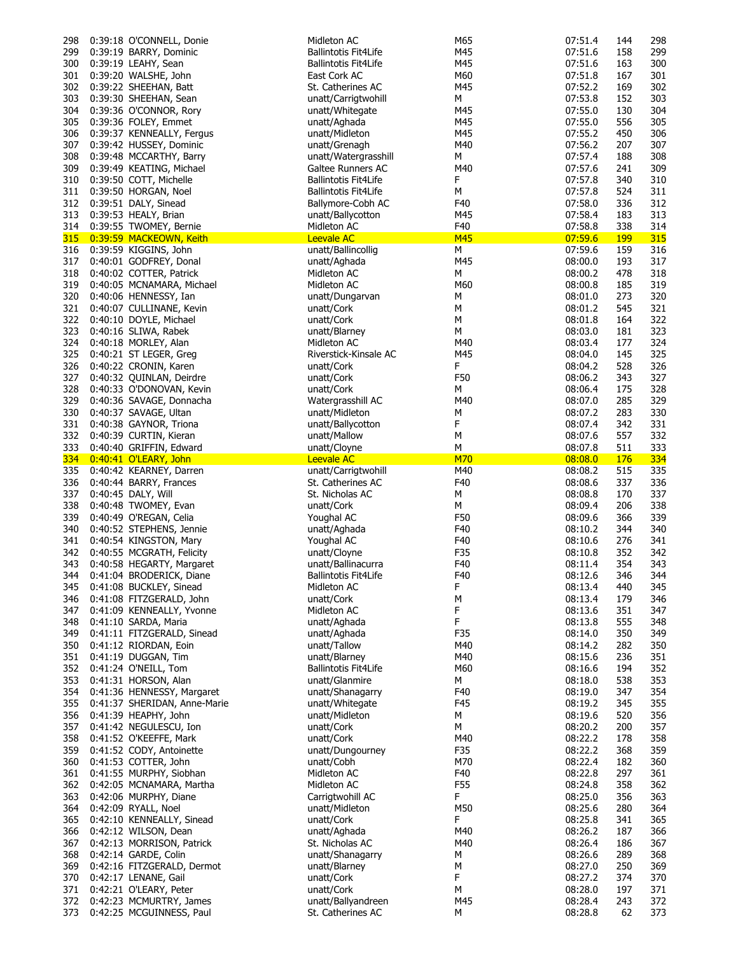| 298        | 0:39:18 O'CONNELL, Donie                            | Midleton AC                             | M65        | 07:51.4            | 144        | 298        |
|------------|-----------------------------------------------------|-----------------------------------------|------------|--------------------|------------|------------|
| 299        | 0:39:19 BARRY, Dominic                              | <b>Ballintotis Fit4Life</b>             | M45        | 07:51.6            | 158        | 299        |
| 300        | 0:39:19 LEAHY, Sean                                 | <b>Ballintotis Fit4Life</b>             | M45        | 07:51.6            | 163        | 300        |
| 301        | 0:39:20 WALSHE, John                                | East Cork AC                            | M60        | 07:51.8            | 167        | 301        |
| 302        | 0:39:22 SHEEHAN, Batt                               | St. Catherines AC                       | M45        | 07:52.2            | 169        | 302        |
|            |                                                     |                                         |            |                    |            |            |
| 303        | 0:39:30 SHEEHAN, Sean                               | unatt/Carrigtwohill                     | М          | 07:53.8            | 152        | 303        |
| 304        | 0:39:36 O'CONNOR, Rory                              | unatt/Whitegate                         | M45        | 07:55.0            | 130        | 304        |
| 305        | 0:39:36 FOLEY, Emmet                                | unatt/Aghada                            | M45        | 07:55.0            | 556        | 305        |
| 306        | 0:39:37 KENNEALLY, Fergus                           | unatt/Midleton                          | M45        | 07:55.2            | 450        | 306        |
| 307        | 0:39:42 HUSSEY, Dominic                             | unatt/Grenagh                           | M40        | 07:56.2            | 207        | 307        |
| 308        | 0:39:48 MCCARTHY, Barry                             | unatt/Watergrasshill                    | М          | 07:57.4            | 188        | 308        |
|            |                                                     |                                         |            |                    |            |            |
| 309        | 0:39:49 KEATING, Michael                            | <b>Galtee Runners AC</b>                | M40        | 07:57.6            | 241        | 309        |
| 310        | 0:39:50 COTT, Michelle                              | <b>Ballintotis Fit4Life</b>             | F          | 07:57.8            | 340        | 310        |
| 311        | 0:39:50 HORGAN, Noel                                | <b>Ballintotis Fit4Life</b>             | М          | 07:57.8            | 524        | 311        |
| 312        | 0:39:51 DALY, Sinead                                | Ballymore-Cobh AC                       | F40        | 07:58.0            | 336        | 312        |
| 313        | 0:39:53 HEALY, Brian                                | unatt/Ballycotton                       | M45        | 07:58.4            | 183        | 313        |
|            | 0:39:55 TWOMEY, Bernie                              | Midleton AC                             | F40        | 07:58.8            | 338        | 314        |
| 314        |                                                     |                                         |            |                    |            |            |
|            | 315 0:39:59 MACKEOWN, Keith                         | <b>Leevale AC</b>                       | <b>M45</b> | 07:59.6            | <b>199</b> | <b>315</b> |
| 316        | 0:39:59 KIGGINS, John                               | unatt/Ballincollig                      | М          | 07:59.6            | 159        | 316        |
| 317        | 0:40:01 GODFREY, Donal                              | unatt/Aghada                            | M45        | 08:00.0            | 193        | 317        |
| 318        | 0:40:02 COTTER, Patrick                             | Midleton AC                             | М          | 08:00.2            | 478        | 318        |
| 319        | 0:40:05 MCNAMARA, Michael                           | Midleton AC                             | M60        | 08:00.8            | 185        | 319        |
| 320        | 0:40:06 HENNESSY, Ian                               | unatt/Dungarvan                         | м          | 08:01.0            | 273        | 320        |
|            |                                                     |                                         |            |                    |            |            |
| 321        | 0:40:07 CULLINANE, Kevin                            | unatt/Cork                              | м          | 08:01.2            | 545        | 321        |
| 322        | 0:40:10 DOYLE, Michael                              | unatt/Cork                              | м          | 08:01.8            | 164        | 322        |
| 323        | 0:40:16 SLIWA, Rabek                                | unatt/Blarney                           | М          | 08:03.0            | 181        | 323        |
| 324        | 0:40:18 MORLEY, Alan                                | Midleton AC                             | M40        | 08:03.4            | 177        | 324        |
| 325        | 0:40:21 ST LEGER, Greg                              | Riverstick-Kinsale AC                   | M45        | 08:04.0            | 145        | 325        |
|            |                                                     |                                         | F.         |                    | 528        | 326        |
| 326        | 0:40:22 CRONIN, Karen                               | unatt/Cork                              |            | 08:04.2            |            |            |
| 327        | 0:40:32 QUINLAN, Deirdre                            | unatt/Cork                              | F50        | 08:06.2            | 343        | 327        |
| 328        | 0:40:33 O'DONOVAN, Kevin                            | unatt/Cork                              | М          | 08:06.4            | 175        | 328        |
| 329        | 0:40:36 SAVAGE, Donnacha                            | Watergrasshill AC                       | M40        | 08:07.0            | 285        | 329        |
| 330        | 0:40:37 SAVAGE, Ultan                               | unatt/Midleton                          | M          | 08:07.2            | 283        | 330        |
| 331        | 0:40:38 GAYNOR, Triona                              | unatt/Ballycotton                       | F          | 08:07.4            | 342        | 331        |
| 332        |                                                     | unatt/Mallow                            | м          | 08:07.6            | 557        | 332        |
|            | 0:40:39 CURTIN, Kieran                              |                                         |            |                    |            |            |
| 333        | 0:40:40 GRIFFIN, Edward                             | unatt/Cloyne                            | М          | 08:07.8            | 511        | 333        |
|            |                                                     |                                         |            |                    |            |            |
|            | 334 0:40:41 O'LEARY, John                           | <b>Leevale AC</b>                       | M70        | 08:08.0            | 176        | 334        |
| 335        | 0:40:42 KEARNEY, Darren                             | unatt/Carrigtwohill                     | M40        | 08:08.2            | 515        | 335        |
| 336        |                                                     | St. Catherines AC                       | F40        |                    | 337        | 336        |
|            | 0:40:44 BARRY, Frances                              |                                         |            | 08:08.6            |            |            |
| 337        | 0:40:45 DALY, Will                                  | St. Nicholas AC                         | М          | 08:08.8            | 170        | 337        |
| 338        | 0:40:48 TWOMEY, Evan                                | unatt/Cork                              | М          | 08:09.4            | 206        | 338        |
| 339        | 0:40:49 O'REGAN, Celia                              | Youghal AC                              | F50        | 08:09.6            | 366        | 339        |
| 340        | 0:40:52 STEPHENS, Jennie                            | unatt/Aghada                            | F40        | 08:10.2            | 344        | 340        |
| 341        | 0:40:54 KINGSTON, Mary                              | Youghal AC                              | F40        | 08:10.6            | 276        | 341        |
| 342        | 0:40:55 MCGRATH, Felicity                           | unatt/Cloyne                            |            | 08:10.8            | 352        | 342        |
|            |                                                     |                                         | F35        |                    |            |            |
| 343        | 0:40:58 HEGARTY, Margaret                           | unatt/Ballinacurra                      | F40        | 08:11.4            | 354        | 343        |
| 344        | 0:41:04 BRODERICK, Diane                            | <b>Ballintotis Fit4Life</b>             | F40        | 08:12.6            | 346        | 344        |
| 345        | 0:41:08 BUCKLEY, Sinead                             | Midleton AC                             | F          | 08:13.4            | 440        | 345        |
| 346        | 0:41:08 FITZGERALD, John                            | unatt/Cork                              | м          | 08:13.4            | 179        | 346        |
|            | 347 0:41:09 KENNEALLY, Yvonne                       | Midleton AC                             | F          | 08:13.6            | 351        | 347        |
| 348        | 0:41:10 SARDA, Maria                                | unatt/Aghada                            | F.         | 08:13.8            | 555        | 348        |
|            |                                                     |                                         |            |                    |            |            |
| 349        | 0:41:11 FITZGERALD, Sinead                          | unatt/Aghada                            | F35        | 08:14.0            | 350        | 349        |
| 350        | 0:41:12 RIORDAN, Eoin                               | unatt/Tallow                            | M40        | 08:14.2            | 282        | 350        |
| 351        | 0:41:19 DUGGAN, Tim                                 | unatt/Blarney                           | M40        | 08:15.6            | 236        | 351        |
| 352        | 0:41:24 O'NEILL, Tom                                | <b>Ballintotis Fit4Life</b>             | M60        | 08:16.6            | 194        | 352        |
| 353        | 0:41:31 HORSON, Alan                                | unatt/Glanmire                          | М          | 08:18.0            | 538        | 353        |
| 354        | 0:41:36 HENNESSY, Margaret                          | unatt/Shanagarry                        | F40        | 08:19.0            | 347        | 354        |
|            |                                                     | unatt/Whitegate                         |            |                    |            |            |
| 355        | 0:41:37 SHERIDAN, Anne-Marie                        |                                         | F45        | 08:19.2            | 345        | 355        |
| 356        | 0:41:39 HEAPHY, John                                | unatt/Midleton                          | М          | 08:19.6            | 520        | 356        |
| 357        | 0:41:42 NEGULESCU, Ion                              | unatt/Cork                              | М          | 08:20.2            | 200        | 357        |
| 358        | 0:41:52 O'KEEFFE, Mark                              | unatt/Cork                              | M40        | 08:22.2            | 178        | 358        |
| 359        | 0:41:52 CODY, Antoinette                            | unatt/Dungourney                        | F35        | 08:22.2            | 368        | 359        |
| 360        | 0:41:53 COTTER, John                                | unatt/Cobh                              | M70        | 08:22.4            | 182        | 360        |
| 361        | 0:41:55 MURPHY, Siobhan                             | Midleton AC                             |            | 08:22.8            | 297        | 361        |
|            |                                                     |                                         | F40        |                    |            |            |
| 362        | 0:42:05 MCNAMARA, Martha                            | Midleton AC                             | F55        | 08:24.8            | 358        | 362        |
| 363        | 0:42:06 MURPHY, Diane                               | Carrigtwohill AC                        | F.         | 08:25.0            | 356        | 363        |
| 364        | 0:42:09 RYALL, Noel                                 | unatt/Midleton                          | M50        | 08:25.6            | 280        | 364        |
| 365        | 0:42:10 KENNEALLY, Sinead                           | unatt/Cork                              | F.         | 08:25.8            | 341        | 365        |
| 366        | 0:42:12 WILSON, Dean                                | unatt/Aghada                            | M40        | 08:26.2            | 187        | 366        |
| 367        | 0:42:13 MORRISON, Patrick                           | St. Nicholas AC                         | M40        | 08:26.4            | 186        | 367        |
| 368        | 0:42:14 GARDE, Colin                                | unatt/Shanagarry                        | м          | 08:26.6            | 289        | 368        |
|            |                                                     |                                         |            |                    |            |            |
| 369        | 0:42:16 FITZGERALD, Dermot                          | unatt/Blarney                           | м          | 08:27.0            | 250        | 369        |
| 370        | 0:42:17 LENANE, Gail                                | unatt/Cork                              | F          | 08:27.2            | 374        | 370        |
| 371        | 0:42:21 O'LEARY, Peter                              | unatt/Cork                              | М          | 08:28.0            | 197        | 371        |
| 372<br>373 | 0:42:23 MCMURTRY, James<br>0:42:25 MCGUINNESS, Paul | unatt/Ballyandreen<br>St. Catherines AC | M45<br>м   | 08:28.4<br>08:28.8 | 243<br>62  | 372<br>373 |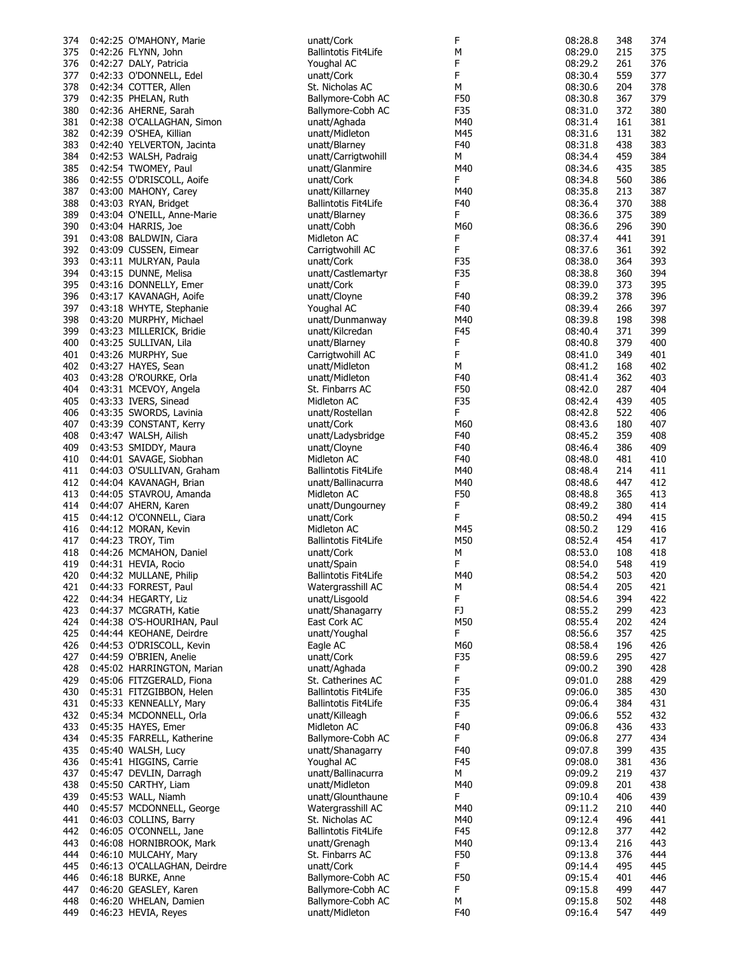| 374 | 0:42:25 O'MAHONY, Marie      | unatt/Cork                  | F   | 08:28.8 | 348 | 374 |
|-----|------------------------------|-----------------------------|-----|---------|-----|-----|
| 375 | 0:42:26 FLYNN, John          | <b>Ballintotis Fit4Life</b> | М   | 08:29.0 | 215 | 375 |
|     | 376 0:42:27 DALY, Patricia   | Youghal AC                  | F   | 08:29.2 | 261 | 376 |
| 377 | 0:42:33 O'DONNELL, Edel      | unatt/Cork                  | F   | 08:30.4 | 559 | 377 |
| 378 | 0:42:34 COTTER, Allen        | St. Nicholas AC             | М   | 08:30.6 | 204 | 378 |
| 379 | 0:42:35 PHELAN, Ruth         | Ballymore-Cobh AC           | F50 | 08:30.8 | 367 | 379 |
|     |                              |                             |     |         |     |     |
| 380 | 0:42:36 AHERNE, Sarah        | Ballymore-Cobh AC           | F35 | 08:31.0 | 372 | 380 |
| 381 | 0:42:38 O'CALLAGHAN, Simon   | unatt/Aghada                | M40 | 08:31.4 | 161 | 381 |
| 382 | 0:42:39 O'SHEA, Killian      | unatt/Midleton              | M45 | 08:31.6 | 131 | 382 |
| 383 | 0:42:40 YELVERTON, Jacinta   | unatt/Blarney               | F40 | 08:31.8 | 438 | 383 |
| 384 | 0:42:53 WALSH, Padraig       | unatt/Carrigtwohill         | М   | 08:34.4 | 459 | 384 |
| 385 | 0:42:54 TWOMEY, Paul         | unatt/Glanmire              | M40 | 08:34.6 | 435 | 385 |
|     |                              | unatt/Cork                  | F   |         |     | 386 |
| 386 | 0:42:55 O'DRISCOLL, Aoife    |                             |     | 08:34.8 | 560 |     |
| 387 | 0:43:00 MAHONY, Carey        | unatt/Killarney             | M40 | 08:35.8 | 213 | 387 |
| 388 | 0:43:03 RYAN, Bridget        | <b>Ballintotis Fit4Life</b> | F40 | 08:36.4 | 370 | 388 |
| 389 | 0:43:04 O'NEILL, Anne-Marie  | unatt/Blarney               | F   | 08:36.6 | 375 | 389 |
| 390 | 0:43:04 HARRIS, Joe          | unatt/Cobh                  | M60 | 08:36.6 | 296 | 390 |
| 391 | 0:43:08 BALDWIN, Ciara       | Midleton AC                 | F   | 08:37.4 | 441 | 391 |
| 392 | 0:43:09 CUSSEN, Eimear       | Carrigtwohill AC            | F   | 08:37.6 | 361 | 392 |
|     |                              |                             |     |         |     |     |
| 393 | 0:43:11 MULRYAN, Paula       | unatt/Cork                  | F35 | 08:38.0 | 364 | 393 |
| 394 | 0:43:15 DUNNE, Melisa        | unatt/Castlemartyr          | F35 | 08:38.8 | 360 | 394 |
| 395 | 0:43:16 DONNELLY, Emer       | unatt/Cork                  | F.  | 08:39.0 | 373 | 395 |
| 396 | 0:43:17 KAVANAGH, Aoife      | unatt/Cloyne                | F40 | 08:39.2 | 378 | 396 |
| 397 | 0:43:18 WHYTE, Stephanie     | Youghal AC                  | F40 | 08:39.4 | 266 | 397 |
| 398 | 0:43:20 MURPHY, Michael      | unatt/Dunmanway             | M40 | 08:39.8 | 198 | 398 |
| 399 | 0:43:23 MILLERICK, Bridie    | unatt/Kilcredan             | F45 | 08:40.4 | 371 | 399 |
|     |                              |                             |     |         |     |     |
| 400 | 0:43:25 SULLIVAN, Lila       | unatt/Blarney               | F   | 08:40.8 | 379 | 400 |
| 401 | 0:43:26 MURPHY, Sue          | Carrigtwohill AC            | F   | 08:41.0 | 349 | 401 |
| 402 | 0:43:27 HAYES, Sean          | unatt/Midleton              | М   | 08:41.2 | 168 | 402 |
| 403 | 0:43:28 O'ROURKE, Orla       | unatt/Midleton              | F40 | 08:41.4 | 362 | 403 |
| 404 | 0:43:31 MCEVOY, Angela       | St. Finbarrs AC             | F50 | 08:42.0 | 287 | 404 |
| 405 | 0:43:33 IVERS, Sinead        | Midleton AC                 | F35 | 08:42.4 | 439 | 405 |
| 406 | 0:43:35 SWORDS, Lavinia      | unatt/Rostellan             | F.  | 08:42.8 | 522 | 406 |
|     |                              |                             |     |         |     |     |
| 407 | 0:43:39 CONSTANT, Kerry      | unatt/Cork                  | M60 | 08:43.6 | 180 | 407 |
| 408 | 0:43:47 WALSH, Ailish        | unatt/Ladysbridge           | F40 | 08:45.2 | 359 | 408 |
| 409 | 0:43:53 SMIDDY, Maura        | unatt/Cloyne                | F40 | 08:46.4 | 386 | 409 |
| 410 | 0:44:01 SAVAGE, Siobhan      | Midleton AC                 | F40 | 08:48.0 | 481 | 410 |
| 411 | 0:44:03 O'SULLIVAN, Graham   | Ballintotis Fit4Life        | M40 | 08:48.4 | 214 | 411 |
| 412 | 0:44:04 KAVANAGH, Brian      | unatt/Ballinacurra          | M40 | 08:48.6 | 447 | 412 |
| 413 | 0:44:05 STAVROU, Amanda      | Midleton AC                 | F50 | 08:48.8 | 365 | 413 |
|     |                              | unatt/Dungourney            |     |         |     |     |
| 414 | 0:44:07 AHERN, Karen         |                             | F   | 08:49.2 | 380 | 414 |
| 415 | 0:44:12 O'CONNELL, Ciara     | unatt/Cork                  | F.  | 08:50.2 | 494 | 415 |
| 416 | 0:44:12 MORAN, Kevin         | Midleton AC                 | M45 | 08:50.2 | 129 | 416 |
| 417 | 0:44:23 TROY, Tim            | <b>Ballintotis Fit4Life</b> | M50 | 08:52.4 | 454 | 417 |
| 418 | 0:44:26 MCMAHON, Daniel      | unatt/Cork                  | М   | 08:53.0 | 108 | 418 |
| 419 | 0:44:31 HEVIA, Rocio         | unatt/Spain                 | F   | 08:54.0 | 548 | 419 |
|     | 420 0:44:32 MULLANE, Philip  | <b>Ballintotis Fit4Life</b> | M40 | 08:54.2 | 503 | 420 |
| 421 | 0:44:33 FORREST, Paul        | Watergrasshill AC           | м   | 08:54.4 | 205 | 421 |
|     |                              |                             |     |         |     |     |
|     | 422 0:44:34 HEGARTY, Liz     | unatt/Lisgoold              | F   | 08:54.6 | 394 | 422 |
| 423 | 0:44:37 MCGRATH, Katie       | unatt/Shanagarry            | FJ  | 08:55.2 | 299 | 423 |
| 424 | 0:44:38 O'S-HOURIHAN, Paul   | East Cork AC                | M50 | 08:55.4 | 202 | 424 |
| 425 | 0:44:44 KEOHANE, Deirdre     | unatt/Youghal               | F.  | 08:56.6 | 357 | 425 |
| 426 | 0:44:53 O'DRISCOLL, Kevin    | Eagle AC                    | M60 | 08:58.4 | 196 | 426 |
| 427 | 0:44:59 O'BRIEN, Anelie      | unatt/Cork                  | F35 | 08:59.6 | 295 | 427 |
| 428 | 0:45:02 HARRINGTON, Marian   | unatt/Aghada                | F.  | 09:00.2 | 390 | 428 |
| 429 | 0:45:06 FITZGERALD, Fiona    | St. Catherines AC           | F.  | 09:01.0 | 288 | 429 |
| 430 | 0:45:31 FITZGIBBON, Helen    | Ballintotis Fit4Life        | F35 | 09:06.0 | 385 | 430 |
|     |                              |                             |     |         |     |     |
| 431 | 0:45:33 KENNEALLY, Mary      | <b>Ballintotis Fit4Life</b> | F35 | 09:06.4 | 384 | 431 |
| 432 | 0:45:34 MCDONNELL, Orla      | unatt/Killeagh              | F   | 09:06.6 | 552 | 432 |
| 433 | 0:45:35 HAYES, Emer          | Midleton AC                 | F40 | 09:06.8 | 436 | 433 |
| 434 | 0:45:35 FARRELL, Katherine   | Ballymore-Cobh AC           | F.  | 09:06.8 | 277 | 434 |
| 435 | 0:45:40 WALSH, Lucy          | unatt/Shanagarry            | F40 | 09:07.8 | 399 | 435 |
| 436 | 0:45:41 HIGGINS, Carrie      | Youghal AC                  | F45 | 09:08.0 | 381 | 436 |
| 437 | 0:45:47 DEVLIN, Darragh      | unatt/Ballinacurra          | М   | 09:09.2 | 219 | 437 |
|     |                              |                             |     |         |     |     |
| 438 | 0:45:50 CARTHY, Liam         | unatt/Midleton              | M40 | 09:09.8 | 201 | 438 |
| 439 | 0:45:53 WALL, Niamh          | unatt/Glounthaune           | F   | 09:10.4 | 406 | 439 |
| 440 | 0:45:57 MCDONNELL, George    | Watergrasshill AC           | M40 | 09:11.2 | 210 | 440 |
| 441 | 0:46:03 COLLINS, Barry       | St. Nicholas AC             | M40 | 09:12.4 | 496 | 441 |
| 442 | 0:46:05 O'CONNELL, Jane      | <b>Ballintotis Fit4Life</b> | F45 | 09:12.8 | 377 | 442 |
| 443 | 0:46:08 HORNIBROOK, Mark     | unatt/Grenagh               | M40 | 09:13.4 | 216 | 443 |
| 444 | 0:46:10 MULCAHY, Mary        | St. Finbarrs AC             | F50 | 09:13.8 | 376 | 444 |
|     | 0:46:13 O'CALLAGHAN, Deirdre | unatt/Cork                  | F.  | 09:14.4 | 495 | 445 |
| 445 |                              |                             |     |         |     |     |
| 446 | 0:46:18 BURKE, Anne          | Ballymore-Cobh AC           | F50 | 09:15.4 | 401 | 446 |
| 447 | 0:46:20 GEASLEY, Karen       | Ballymore-Cobh AC           | F   | 09:15.8 | 499 | 447 |
| 448 | 0:46:20 WHELAN, Damien       | Ballymore-Cobh AC           | M   | 09:15.8 | 502 | 448 |
| 449 | 0:46:23 HEVIA, Reyes         | unatt/Midleton              | F40 | 09:16.4 | 547 | 449 |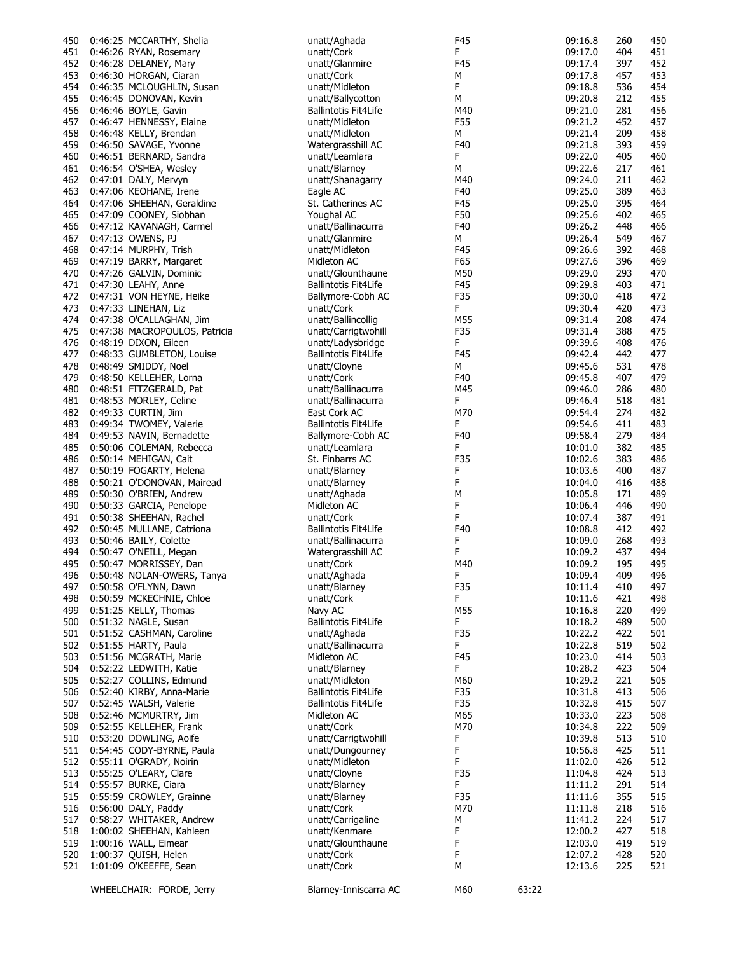| 450 | 0:46:25 MCCARTHY, Shelia      | unatt/Aghada                | F45    |       | 09:16.8 | 260 | 450 |
|-----|-------------------------------|-----------------------------|--------|-------|---------|-----|-----|
| 451 | 0:46:26 RYAN, Rosemary        | unatt/Cork                  | F      |       | 09:17.0 | 404 | 451 |
| 452 | 0:46:28 DELANEY, Mary         | unatt/Glanmire              | F45    |       | 09:17.4 | 397 | 452 |
|     |                               |                             |        |       |         |     |     |
| 453 | 0:46:30 HORGAN, Ciaran        | unatt/Cork                  | М      |       | 09:17.8 | 457 | 453 |
| 454 | 0:46:35 MCLOUGHLIN, Susan     | unatt/Midleton              | F.     |       | 09:18.8 | 536 | 454 |
| 455 | 0:46:45 DONOVAN, Kevin        | unatt/Ballycotton           | М      |       | 09:20.8 | 212 | 455 |
| 456 | 0:46:46 BOYLE, Gavin          | <b>Ballintotis Fit4Life</b> | M40    |       | 09:21.0 | 281 | 456 |
| 457 | 0:46:47 HENNESSY, Elaine      | unatt/Midleton              | F55    |       | 09:21.2 | 452 | 457 |
| 458 | 0:46:48 KELLY, Brendan        | unatt/Midleton              | м      |       | 09:21.4 | 209 | 458 |
| 459 | 0:46:50 SAVAGE, Yvonne        | Watergrasshill AC           | F40    |       | 09:21.8 | 393 | 459 |
| 460 | 0:46:51 BERNARD, Sandra       | unatt/Leamlara              | F      |       | 09:22.0 | 405 | 460 |
| 461 | 0:46:54 O'SHEA, Wesley        | unatt/Blarney               | M      |       | 09:22.6 | 217 | 461 |
| 462 | 0:47:01 DALY, Mervyn          | unatt/Shanagarry            | M40    |       | 09:24.0 | 211 | 462 |
| 463 | 0:47:06 KEOHANE, Irene        | Eagle AC                    | F40    |       | 09:25.0 | 389 | 463 |
| 464 | 0:47:06 SHEEHAN, Geraldine    | St. Catherines AC           | F45    |       | 09:25.0 | 395 | 464 |
| 465 | 0:47:09 COONEY, Siobhan       | Youghal AC                  | F50    |       | 09:25.6 | 402 | 465 |
| 466 | 0:47:12 KAVANAGH, Carmel      | unatt/Ballinacurra          | F40    |       | 09:26.2 | 448 | 466 |
| 467 | 0:47:13 OWENS, PJ             | unatt/Glanmire              | м      |       | 09:26.4 | 549 | 467 |
| 468 | 0:47:14 MURPHY, Trish         | unatt/Midleton              | F45    |       | 09:26.6 | 392 | 468 |
| 469 | 0:47:19 BARRY, Margaret       | Midleton AC                 | F65    |       | 09:27.6 | 396 | 469 |
| 470 | 0:47:26 GALVIN, Dominic       | unatt/Glounthaune           | M50    |       | 09:29.0 | 293 | 470 |
| 471 | 0:47:30 LEAHY, Anne           | <b>Ballintotis Fit4Life</b> | F45    |       | 09:29.8 | 403 | 471 |
| 472 | 0:47:31 VON HEYNE, Heike      | Ballymore-Cobh AC           | F35    |       | 09:30.0 | 418 | 472 |
|     |                               |                             |        |       |         |     |     |
| 473 | 0:47:33 LINEHAN, Liz          | unatt/Cork                  | F.     |       | 09:30.4 | 420 | 473 |
| 474 | 0:47:38 O'CALLAGHAN, Jim      | unatt/Ballincollig          | M55    |       | 09:31.4 | 208 | 474 |
| 475 | 0:47:38 MACROPOULOS, Patricia | unatt/Carrigtwohill         | F35    |       | 09:31.4 | 388 | 475 |
| 476 | 0:48:19 DIXON, Eileen         | unatt/Ladysbridge           | F.     |       | 09:39.6 | 408 | 476 |
| 477 | 0:48:33 GUMBLETON, Louise     | <b>Ballintotis Fit4Life</b> | F45    |       | 09:42.4 | 442 | 477 |
| 478 | 0:48:49 SMIDDY, Noel          | unatt/Cloyne                | м      |       | 09:45.6 | 531 | 478 |
| 479 | 0:48:50 KELLEHER, Lorna       | unatt/Cork                  | F40    |       | 09:45.8 | 407 | 479 |
| 480 | 0:48:51 FITZGERALD, Pat       | unatt/Ballinacurra          | M45    |       | 09:46.0 | 286 | 480 |
| 481 | 0:48:53 MORLEY, Celine        | unatt/Ballinacurra          | F.     |       | 09:46.4 | 518 | 481 |
| 482 | 0:49:33 CURTIN, Jim           | East Cork AC                | M70    |       | 09:54.4 | 274 | 482 |
| 483 | 0:49:34 TWOMEY, Valerie       | <b>Ballintotis Fit4Life</b> | F      |       | 09:54.6 | 411 | 483 |
| 484 | 0:49:53 NAVIN, Bernadette     | Ballymore-Cobh AC           | F40    |       | 09:58.4 | 279 | 484 |
| 485 | 0:50:06 COLEMAN, Rebecca      | unatt/Leamlara              | F.     |       | 10:01.0 | 382 | 485 |
| 486 | 0:50:14 MEHIGAN, Cait         | St. Finbarrs AC             | F35    |       | 10:02.6 | 383 | 486 |
| 487 | 0:50:19 FOGARTY, Helena       | unatt/Blarney               | F      |       | 10:03.6 | 400 | 487 |
| 488 | 0:50:21 O'DONOVAN, Mairead    | unatt/Blarney               | F      |       | 10:04.0 | 416 | 488 |
| 489 | 0:50:30 O'BRIEN, Andrew       | unatt/Aghada                | M      |       | 10:05.8 | 171 | 489 |
| 490 | 0:50:33 GARCIA, Penelope      | Midleton AC                 | F      |       | 10:06.4 | 446 | 490 |
| 491 | 0:50:38 SHEEHAN, Rachel       | unatt/Cork                  | F      |       | 10:07.4 | 387 | 491 |
|     |                               |                             | F40    |       |         |     |     |
| 492 | 0:50:45 MULLANE, Catriona     | <b>Ballintotis Fit4Life</b> |        |       | 10:08.8 | 412 | 492 |
| 493 | 0:50:46 BAILY, Colette        | unatt/Ballinacurra          | F<br>F |       | 10:09.0 | 268 | 493 |
| 494 | 0:50:47 O'NEILL, Megan        | Watergrasshill AC           |        |       | 10:09.2 | 437 | 494 |
| 495 | 0:50:47 MORRISSEY, Dan        | unatt/Cork                  | M40    |       | 10:09.2 | 195 | 495 |
| 496 | 0:50:48 NOLAN-OWERS, Tanya    | unatt/Aghada                | F.     |       | 10:09.4 | 409 | 496 |
| 497 | 0:50:58 O'FLYNN, Dawn         | unatt/Blarney               | F35    |       | 10:11.4 | 410 | 497 |
| 498 | 0:50:59 MCKECHNIE, Chloe      | unatt/Cork                  | F.     |       | 10:11.6 | 421 | 498 |
| 499 | 0:51:25 KELLY, Thomas         | Navy AC                     | M55    |       | 10:16.8 | 220 | 499 |
| 500 | 0:51:32 NAGLE, Susan          | <b>Ballintotis Fit4Life</b> | F.     |       | 10:18.2 | 489 | 500 |
| 501 | 0:51:52 CASHMAN, Caroline     | unatt/Aghada                | F35    |       | 10:22.2 | 422 | 501 |
| 502 | 0:51:55 HARTY, Paula          | unatt/Ballinacurra          | F.     |       | 10:22.8 | 519 | 502 |
| 503 | 0:51:56 MCGRATH, Marie        | Midleton AC                 | F45    |       | 10:23.0 | 414 | 503 |
| 504 | 0:52:22 LEDWITH, Katie        | unatt/Blarney               | F.     |       | 10:28.2 | 423 | 504 |
| 505 | 0:52:27 COLLINS, Edmund       | unatt/Midleton              | M60    |       | 10:29.2 | 221 | 505 |
| 506 | 0:52:40 KIRBY, Anna-Marie     | <b>Ballintotis Fit4Life</b> | F35    |       | 10:31.8 | 413 | 506 |
| 507 | 0:52:45 WALSH, Valerie        | <b>Ballintotis Fit4Life</b> | F35    |       | 10:32.8 | 415 | 507 |
| 508 | 0:52:46 MCMURTRY, Jim         | Midleton AC                 | M65    |       | 10:33.0 | 223 | 508 |
| 509 | 0:52:55 KELLEHER, Frank       | unatt/Cork                  | M70    |       | 10:34.8 | 222 | 509 |
| 510 | 0:53:20 DOWLING, Aoife        | unatt/Carrigtwohill         | F      |       | 10:39.8 | 513 | 510 |
| 511 | 0:54:45 CODY-BYRNE, Paula     | unatt/Dungourney            | F      |       | 10:56.8 | 425 | 511 |
| 512 | 0:55:11 O'GRADY, Noirin       | unatt/Midleton              | F      |       | 11:02.0 | 426 | 512 |
| 513 | 0:55:25 O'LEARY, Clare        | unatt/Cloyne                | F35    |       | 11:04.8 | 424 | 513 |
|     |                               |                             |        |       |         |     |     |
| 514 | 0:55:57 BURKE, Ciara          | unatt/Blarney               | F.     |       | 11:11.2 | 291 | 514 |
| 515 | 0:55:59 CROWLEY, Grainne      | unatt/Blarney               | F35    |       | 11:11.6 | 355 | 515 |
| 516 | 0:56:00 DALY, Paddy           | unatt/Cork                  | M70    |       | 11:11.8 | 218 | 516 |
| 517 | 0:58:27 WHITAKER, Andrew      | unatt/Carrigaline           | М      |       | 11:41.2 | 224 | 517 |
| 518 | 1:00:02 SHEEHAN, Kahleen      | unatt/Kenmare               | F      |       | 12:00.2 | 427 | 518 |
| 519 | 1:00:16 WALL, Eimear          | unatt/Glounthaune           | F      |       | 12:03.0 | 419 | 519 |
| 520 | 1:00:37 QUISH, Helen          | unatt/Cork                  | F      |       | 12:07.2 | 428 | 520 |
| 521 | 1:01:09 O'KEEFFE, Sean        | unatt/Cork                  | M      |       | 12:13.6 | 225 | 521 |
|     |                               |                             |        |       |         |     |     |
|     | WHEELCHAIR: FORDE, Jerry      | Blarney-Inniscarra AC       | M60    | 63:22 |         |     |     |